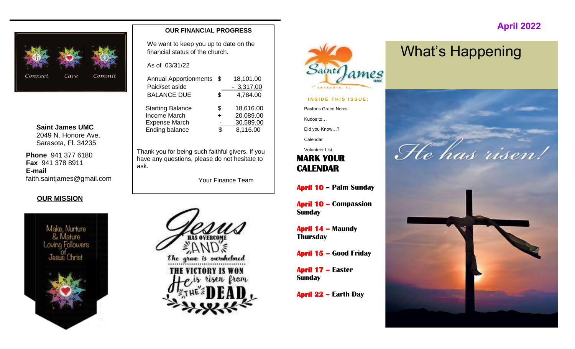

**Saint James UMC** 2049 N. Honore Ave. Sarasota, Fl. 34235

**Phone** 941 377 6180 **Fax** 941 378 8911 **E-mail** faith.saintjames@gmail.com

#### **OUR MISSION**



#### **OUR FINANCIAL PROGRESS**

We want to keep you up to date on the financial status of the church.

As of 03/31/22

| <b>Annual Apportionments</b> | \$. | 18,101.00   |
|------------------------------|-----|-------------|
| Paid/set aside               |     | $-3,317.00$ |
| <b>BALANCE DUE</b>           | \$  | 4,784.00    |
| <b>Starting Balance</b>      | \$  | 18,616.00   |
| Income March                 |     | 20,089.00   |
| <b>Expense March</b>         |     | 30,589.00   |
| <b>Ending balance</b>        |     | 8,116.00    |
|                              |     |             |

Thank you for being such faithful givers. If you have any questions, please do not hesitate to ask.

Your Finance Team





#### **INSIDE THIS ISSUE:**

Pastor's Grace Notes

Kudos to…

Did you Know…?

Calendar

Volunteer List

#### **MARK YOUR CALENDAR**

**April 10 – Palm Sunday**

**April 10 – Compassion Sunday**

**April 14 – Maundy Thursday**

**April 15 – Good Friday**

**April 17 – Easter Sunday**

**April 22 – Earth Day**

## What's Happening

 **April 2022**

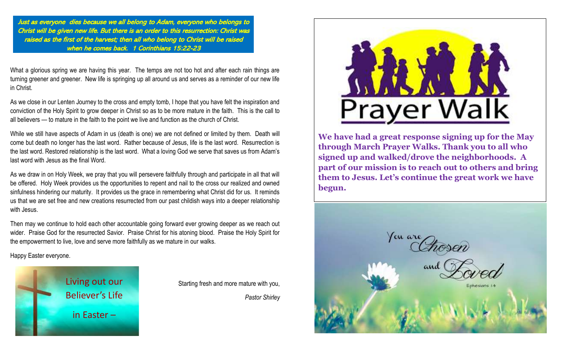Just as everyone dies because we all belong to Adam, everyone who belongs to Christ will be given new life. But there is an order to this resurrection: Christ was raised as the first of the harvest; then all who belong to Christ will be raised when he comes back. 1 Corinthians 15:22-23

What a glorious spring we are having this year. The temps are not too hot and after each rain things are turning greener and greener. New life is springing up all around us and serves as a reminder of our new life in Christ.

As we close in our Lenten Journey to the cross and empty tomb, I hope that you have felt the inspiration and conviction of the Holy Spirit to grow deeper in Christ so as to be more mature in the faith. This is the call to all believers — to mature in the faith to the point we live and function as the church of Christ.

While we still have aspects of Adam in us (death is one) we are not defined or limited by them. Death will come but death no longer has the last word. Rather because of Jesus, life is the last word. Resurrection is the last word. Restored relationship is the last word. What a loving God we serve that saves us from Adam's last word with Jesus as the final Word.

As we draw in on Holy Week, we pray that you will persevere faithfully through and participate in all that will be offered. Holy Week provides us the opportunities to repent and nail to the cross our realized and owned sinfulness hindering our maturity. It provides us the grace in remembering what Christ did for us. It reminds us that we are set free and new creations resurrected from our past childish ways into a deeper relationship with Jesus.

Then may we continue to hold each other accountable going forward ever growing deeper as we reach out wider. Praise God for the resurrected Savior. Praise Christ for his atoning blood. Praise the Holy Spirit for the empowerment to live, love and serve more faithfully as we mature in our walks.

Happy Easter everyone.



Starting fresh and more mature with you,

*Pastor Shirley*



**We have had a great response signing up for the May through March Prayer Walks. Thank you to all who signed up and walked/drove the neighborhoods. A part of our mission is to reach out to others and bring them to Jesus. Let's continue the great work we have begun.**

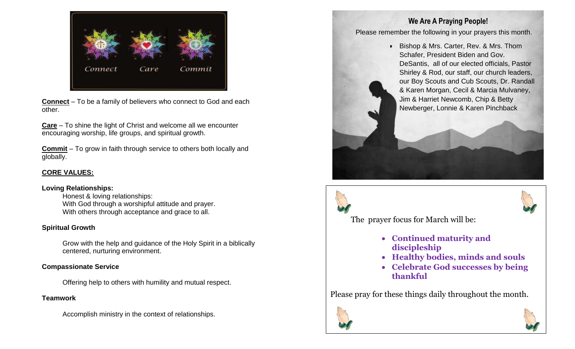

**Connect** – To be a family of believers who connect to God and each other.

**Care** – To shine the light of Christ and welcome all we encounter encouraging worship, life groups, and spiritual growth.

**Commit** – To grow in faith through service to others both locally and globally.

#### **CORE VALUES:**

#### **Loving Relationships:**

Honest & loving relationships: With God through a worshipful attitude and prayer. With others through acceptance and grace to all.

#### **Spiritual Growth**

Grow with the help and guidance of the Holy Spirit in a biblically centered, nurturing environment.

#### **Compassionate Service**

Offering help to others with humility and mutual respect.

#### **Teamwork**

Accomplish ministry in the context of relationships.

#### **We Are A Praying People!**

Please remember the following in your prayers this month.

• Bishop & Mrs. Carter, Rev. & Mrs. Thom Schafer, President Biden and Gov. DeSantis, all of our elected officials, Pastor Shirley & Rod, our staff, our church leaders, our Boy Scouts and Cub Scouts, Dr. Randall & Karen Morgan, Cecil & Marcia Mulvaney, Jim & Harriet Newcomb, Chip & Betty Newberger, Lonnie & Karen Pinchback





The prayer focus for March will be:

- **Continued maturity and discipleship**
- **Healthy bodies, minds and souls**
- **Celebrate God successes by being thankful**

Please pray for these things daily throughout the month.



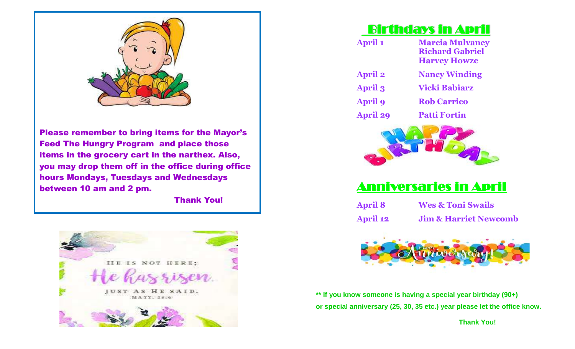

Please remember to bring items for the Mayor's Feed The Hungry Program and place those items in the grocery cart in the narthex. Also, you may drop them off in the office during office hours Mondays, Tuesdays and Wednesdays between 10 am and 2 pm.

Thank You!



## Birthdays in April

| <b>April 1</b>  | <b>Marcia Mulvaney</b><br><b>Richard Gabriel</b><br><b>Harvey Howze</b> |
|-----------------|-------------------------------------------------------------------------|
| <b>April 2</b>  | <b>Nancy Winding</b>                                                    |
| <b>April 3</b>  | <b>Vicki Babiarz</b>                                                    |
| <b>April 9</b>  | <b>Rob Carrico</b>                                                      |
| <b>April 29</b> | <b>Patti Fortin</b>                                                     |
|                 |                                                                         |



## Anniversaries in April

**April 8 Wes & Toni Swails April 12 Jim & Harriet Newcomb**



**\*\* If you know someone is having a special year birthday (90+) or special anniversary (25, 30, 35 etc.) year please let the office know.** 

 **Thank You!**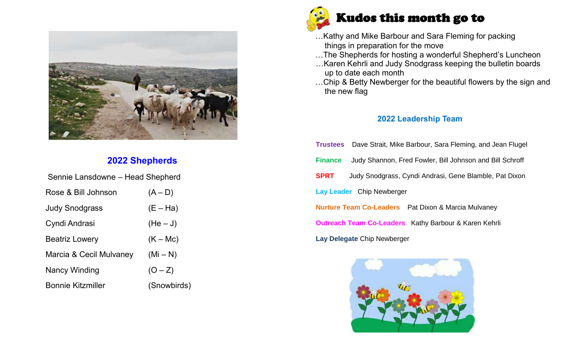

### **2022 Shepherds**

| Sennie Lansdowne - Head Shepherd |             |  |  |  |  |  |  |
|----------------------------------|-------------|--|--|--|--|--|--|
| Rose & Bill Johnson              | $(A - D)$   |  |  |  |  |  |  |
| <b>Judy Snodgrass</b>            | $(E - Ha)$  |  |  |  |  |  |  |
| Cyndi Andrasi                    | $(He-J)$    |  |  |  |  |  |  |
| <b>Beatriz Lowery</b>            | $(K - Mc)$  |  |  |  |  |  |  |
| Marcia & Cecil Mulvaney          | $(Mi - N)$  |  |  |  |  |  |  |
| Nancy Winding                    | $(O - Z)$   |  |  |  |  |  |  |
| <b>Bonnie Kitzmiller</b>         | (Snowbirds) |  |  |  |  |  |  |



- …Kathy and Mike Barbour and Sara Fleming for packing things in preparation for the move
- …The Shepherds for hosting a wonderful Shepherd's Luncheon
- …Karen Kehrli and Judy Snodgrass keeping the bulletin boards up to date each month
- …Chip & Betty Newberger for the beautiful flowers by the sign and the new flag

#### **2022 Leadership Team**

|                                                              | <b>Trustees</b> Dave Strait, Mike Barbour, Sara Fleming, and Jean Flugel |  |  |  |  |  |  |
|--------------------------------------------------------------|--------------------------------------------------------------------------|--|--|--|--|--|--|
| <b>Finance</b>                                               | Judy Shannon, Fred Fowler, Bill Johnson and Bill Schroff                 |  |  |  |  |  |  |
| <b>SPRT</b>                                                  | Judy Snodgrass, Cyndi Andrasi, Gene Blamble, Pat Dixon                   |  |  |  |  |  |  |
| Lay Leader Chip Newberger                                    |                                                                          |  |  |  |  |  |  |
|                                                              | <b>Nurture Team Co-Leaders</b> Pat Dixon & Marcia Mulvaney               |  |  |  |  |  |  |
| <b>Outreach Team Co-Leaders</b> Kathy Barbour & Karen Kehrli |                                                                          |  |  |  |  |  |  |
| Lay Delegate Chip Newberger                                  |                                                                          |  |  |  |  |  |  |

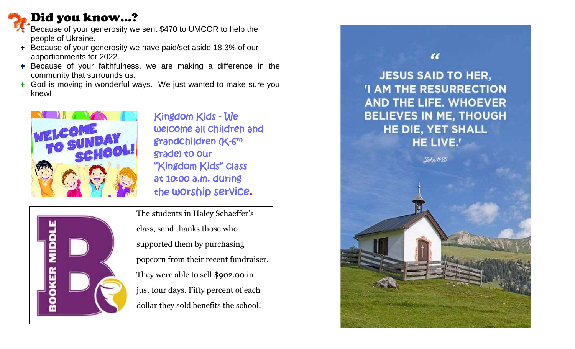## Did you know…?

- Because of your generosity we sent \$470 to UMCOR to help the people of Ukraine.
- + Because of your generosity we have paid/set aside 18.3% of our apportionments for 2022.
- **+** Because of your faithfulness, we are making a difference in the community that surrounds us.
- **t** God is moving in wonderful ways. We just wanted to make sure you knew!



 Kingdom Kids - We welcome all children and grade) to our "Kingdom Kids" class at 10:00 a.m. during the worship service.



The students in Haley Schaeffer's class, send thanks those who supported them by purchasing popcorn from their recent fundraiser. They were able to sell \$902.00 in just four days. Fifty percent of each dollar they sold benefits the school!

 $\epsilon$ **JESUS SAID TO HER, 'I AM THE RESURRECTION** AND THE LIFE. WHOEVER **BELIEVES IN ME, THOUGH** HE DIE, YET SHALL HE LIVE.'

John 11:25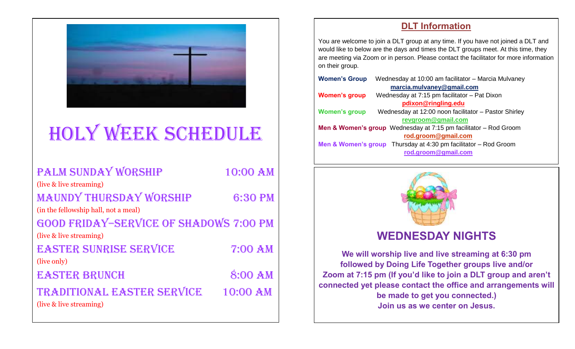

# HOLY WEEK SCHEDULE

| PALM SUNDAY WORSHIP                           | 10:00 AM       |
|-----------------------------------------------|----------------|
| (live & live streaming)                       |                |
| <b>MAUNDY THURSDAY WORSHIP</b>                | 6:30 PM        |
| (in the fellowship hall, not a meal)          |                |
| <b>GOOD FRIDAY-SERVICE OF SHADOWS 7:00 PM</b> |                |
| (live & live streaming)                       |                |
| <b>EASTER SUNRISE SERVICE</b>                 | <b>7:00 AM</b> |
| (live only)                                   |                |
| <b>EASTER BRUNCH</b>                          | 8:00 AM        |
| TRADITIONAL EASTER SERVICE                    | 10:00 AM       |
| (live & live streaming)                       |                |

#### **DLT Information**

You are welcome to join a DLT group at any time. If you have not joined a DLT and would like to below are the days and times the DLT groups meet. At this time, they are meeting via Zoom or in person. Please contact the facilitator for more information on their group.

| Wednesday at 10:00 am facilitator - Marcia Mulvaney<br><b>Women's Group</b> |                                                                                 |  |  |  |  |  |
|-----------------------------------------------------------------------------|---------------------------------------------------------------------------------|--|--|--|--|--|
|                                                                             | marcia.mulvaney@gmail.com                                                       |  |  |  |  |  |
| <b>Women's group</b>                                                        | Wednesday at 7:15 pm facilitator - Pat Dixon                                    |  |  |  |  |  |
|                                                                             | pdixon@ringling.edu                                                             |  |  |  |  |  |
| <b>Women's group</b>                                                        | Wednesday at 12:00 noon facilitator - Pastor Shirley                            |  |  |  |  |  |
|                                                                             | revgroom@gmail.com                                                              |  |  |  |  |  |
|                                                                             | <b>Men &amp; Women's group</b> Wednesday at $7:15$ pm facilitator $-$ Rod Groom |  |  |  |  |  |
|                                                                             | rod.groom@gmail.com                                                             |  |  |  |  |  |
|                                                                             | <b>Men &amp; Women's group</b> Thursday at 4:30 pm facilitator $-$ Rod Groom    |  |  |  |  |  |
|                                                                             | rod.groom@gmail.com                                                             |  |  |  |  |  |
|                                                                             |                                                                                 |  |  |  |  |  |



## **WEDNESDAY NIGHTS**

**We will worship live and live streaming at 6:30 pm followed by Doing Life Together groups live and/or Zoom at 7:15 pm (If you'd like to join a DLT group and aren't connected yet please contact the office and arrangements will be made to get you connected.) Join us as we center on Jesus.**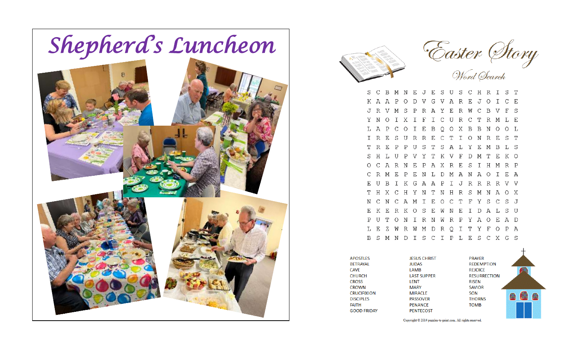



B M N E J E S U S C H R I S T  $S \cap C$ K A A P O D V G V A R E J O I C E J R V M S P R A Y E R W C B V F S Y N O I X I F I C U R C T R M L E L A P C O I E B Q O X B B N O O L I R E S U R R E C T I O N R E S T T R E P P U S T S A L Y E M B L S S H L U P V Y T K V F D M T E K O O C A R N E P A X R E S I H M R P C R M E P E N L D M A N A O I E A E U B I K G A A P I J R R R R V V THXCHYNTNHRSMNAOX N C N C A M I E O C T F Y S C S J E K E R K O S E W N E I D A L S U PUTONIRNWRPYAOEAD L E Z W R W M D R O I T Y F O P A B S M N D I S C I P L E S C X G S

**APOSTLES BETRAYAL CAVE CHURCH CROSS CROWN CRUCIFIXION DISCIPLES FAITH GOOD FRIDAY** 

**JESUS CHRIST PRAYER REJOICE LAST SUPPER RISEN SAVIOR SON THORNS TOMB** 



Copyright © 2014 puzzles-to-print.com. All rights reserved.

**JUDAS** 

LAMB

**LENT** 

**MARY** 

**MIRACLE** 

**PASSOVER** 

**PENANCE** 

**PENTECOST**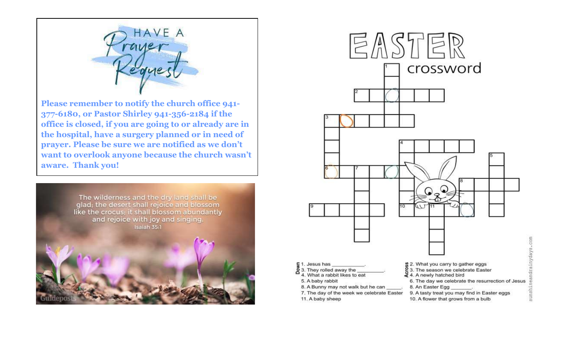

**Please remember to notify the church office 941- 377-6180, or Pastor Shirley 941-356-2184 if the office is closed, if you are going to or already are in the hospital, have a surgery planned or in need of prayer. Please be sure we are notified as we don't want to overlook anyone because the church wasn't aware. Thank you!**



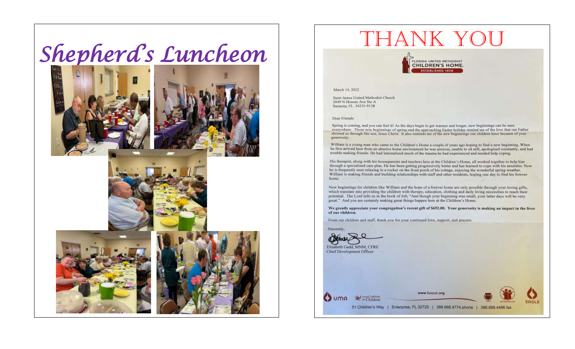# Shepherd's Luncheon









# THANK YOU

**FLORIDA UNITED METHODIST ESTABLISHED 1908** 

#### March 14, 2022

Saint James United Methodist Church 2049 N Honore Ave Ste A Sarasota, FL 34235-9138

#### Dear Friends:

Spring is coming, and you can feel it! As the days begin to get warmer and longer, new beginnings can be seen everywhere. Those new beginnings of spring and the approaching Easter holiday remind me of the love that our Father showed us through His son, Jesus Christ. It also reminds me of the new beginnings our children have because of your generosity.

William is a young man who came to the Children's Home a couple of years ago hoping to find a new beginning. When he first arrived here from an abusive home environment be was anxious, unable to sit still, apologized constantly, and had trouble making friends. He had internalized much of the trauma he had experienced and needed help coping.

His therapist, along with his houseparents and teachers here at the Children's Home, all worked together to help him through a specialized care plan. He has been getting progressively better and has learned to cope with his anxieties. Now he is frequently seen relaxing in a rocker on the front porch of his cottage, enjoying the wonderful spring weather. William is making friends and building relationships with staff and other residents, hoping one day to find his forever home.

New beginnings for children like William and the hope of a forever home are only possible through your loving gifts, which translate into providing the children with therapy, education, clothing and daily living necessities to reach their potential. The Lord tells us in the book of Job, "And though your beginning was small, your latter days will be very great." And you are certainly making great things happen here at the Children's Home.

We greatly appreciate your congregation's recent gift of \$652.00. Your generosity is making an impact in the lives of our children.

From our children and staff, thank you for your continued love, support, and prayers.

Sincerely.

*A Tarton* Elisabeth Gadd, MNM, CFRE Chief Development Officer

| $\sum$ uma | M rissaConlition<br>51 Children's Way | www.fumch.org<br><b><i>PARTIES AND PRODUCED DISCUSSIONS</i></b> |                  | $\blacklozenge$ |
|------------|---------------------------------------|-----------------------------------------------------------------|------------------|-----------------|
|            |                                       | Enterprise, FL 32725<br>386.668.4774 phone                      | 386.668.4486 fax | EAGLE           |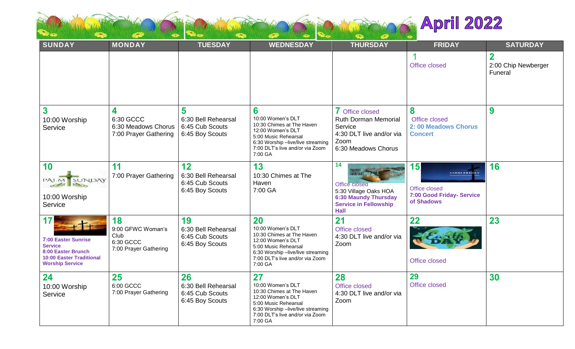

| <b>SUNDAY</b>                                                                                                                                 | <b>MONDAY</b>                                                         | <b>TUESDAY</b>                                                  | <b>WEDNESDAY</b>                                                                                                                                                                     | <b>THURSDAY</b>                                                                                                                                        | <b>FRIDAY</b>                                                                              | <b>SATURDAY</b>                               |
|-----------------------------------------------------------------------------------------------------------------------------------------------|-----------------------------------------------------------------------|-----------------------------------------------------------------|--------------------------------------------------------------------------------------------------------------------------------------------------------------------------------------|--------------------------------------------------------------------------------------------------------------------------------------------------------|--------------------------------------------------------------------------------------------|-----------------------------------------------|
|                                                                                                                                               |                                                                       |                                                                 |                                                                                                                                                                                      |                                                                                                                                                        | 1<br>Office closed                                                                         | $\mathbf 2$<br>2:00 Chip Newberger<br>Funeral |
| $\overline{\mathbf{3}}$<br>10:00 Worship<br>Service                                                                                           | 4<br>6:30 GCCC<br>6:30 Meadows Chorus<br>7:00 Prayer Gathering        | 5<br>6:30 Bell Rehearsal<br>6:45 Cub Scouts<br>6:45 Boy Scouts  | 6<br>10:00 Women's DLT<br>10:30 Chimes at The Haven<br>12:00 Women's DLT<br>5:00 Music Rehearsal<br>6:30 Worship -live/live streaming<br>7:00 DLT's live and/or via Zoom<br>7:00 GA  | 7 Office closed<br><b>Ruth Dorman Memorial</b><br>Service<br>4:30 DLT live and/or via<br>Zoom<br>6:30 Meadows Chorus                                   | 8<br>Office closed<br>2:00 Meadows Chorus<br><b>Concert</b>                                | 9                                             |
| 10<br>SUNDAY<br>PALM.<br>10:00 Worship<br>Service                                                                                             | 11<br>7:00 Prayer Gathering                                           | 12<br>6:30 Bell Rehearsal<br>6:45 Cub Scouts<br>6:45 Boy Scouts | 13<br>10:30 Chimes at The<br>Haven<br>7:00 GA                                                                                                                                        | 14<br><b>IT ISSUARE</b><br><b>Office closed</b><br>5:30 Village Oaks HOA<br><b>6:30 Maundy Thursday</b><br><b>Service in Fellowship</b><br><b>Hall</b> | 15<br><b>COOLFRIDAY</b><br>Office closed<br><b>7:00 Good Friday- Service</b><br>of Shadows | 16                                            |
| 17<br>$-t$<br><b>7:00 Easter Sunrise</b><br><b>Service</b><br>8:00 Easter Brunch<br><b>10:00 Easter Traditional</b><br><b>Worship Service</b> | 18<br>9:00 GFWC Woman's<br>Club<br>6:30 GCCC<br>7:00 Prayer Gathering | 19<br>6:30 Bell Rehearsal<br>6:45 Cub Scouts<br>6:45 Boy Scouts | 20<br>10:00 Women's DLT<br>10:30 Chimes at The Haven<br>12:00 Women's DLT<br>5:00 Music Rehearsal<br>6:30 Worship -live/live streaming<br>7:00 DLT's live and/or via Zoom<br>7:00 GA | 21<br>Office closed<br>4:30 DLT live and/or via<br>Zoom                                                                                                | 22<br>Office closed                                                                        | 23                                            |
| 24<br>10:00 Worship<br>Service                                                                                                                | 25<br>6:00 GCCC<br>7:00 Prayer Gathering                              | 26<br>6:30 Bell Rehearsal<br>6:45 Cub Scouts<br>6:45 Boy Scouts | 27<br>10:00 Women's DLT<br>10:30 Chimes at The Haven<br>12:00 Women's DLT<br>5:00 Music Rehearsal<br>6:30 Worship -live/live streaming<br>7:00 DLT's live and/or via Zoom<br>7:00 GA | 28<br>Office closed<br>4:30 DLT live and/or via<br>Zoom                                                                                                | 29<br>Office closed                                                                        | 30                                            |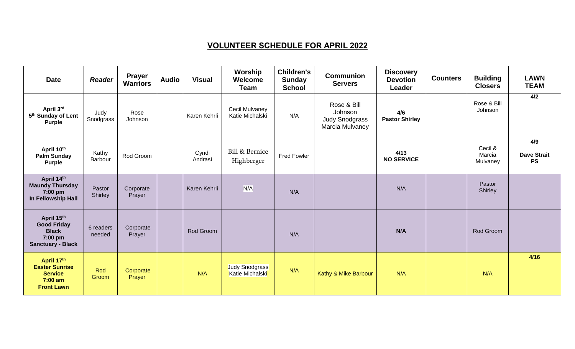### **VOLUNTEER SCHEDULE FOR APRIL 2022**

| <b>Date</b>                                                                             | <b>Reader</b>       | <b>Prayer</b><br><b>Warriors</b> | <b>Audio</b> | <b>Visual</b>    | Worship<br>Welcome<br><b>Team</b> | <b>Children's</b><br><b>Sunday</b><br><b>School</b> | <b>Communion</b><br><b>Servers</b>                                 | <b>Discovery</b><br><b>Devotion</b><br>Leader | <b>Counters</b> | <b>Building</b><br><b>Closers</b> | <b>LAWN</b><br><b>TEAM</b>             |
|-----------------------------------------------------------------------------------------|---------------------|----------------------------------|--------------|------------------|-----------------------------------|-----------------------------------------------------|--------------------------------------------------------------------|-----------------------------------------------|-----------------|-----------------------------------|----------------------------------------|
| April 3rd<br>5 <sup>th</sup> Sunday of Lent<br><b>Purple</b>                            | Judy<br>Snodgrass   | Rose<br>Johnson                  |              | Karen Kehrli     | Cecil Mulvaney<br>Katie Michalski | N/A                                                 | Rose & Bill<br>Johnson<br><b>Judy Snodgrass</b><br>Marcia Mulvaney | 4/6<br><b>Pastor Shirley</b>                  |                 | Rose & Bill<br>Johnson            | 4/2                                    |
| April 10th<br><b>Palm Sunday</b><br><b>Purple</b>                                       | Kathy<br>Barbour    | Rod Groom                        |              | Cyndi<br>Andrasi | Bill & Bernice<br>Highberger      | <b>Fred Fowler</b>                                  |                                                                    | 4/13<br><b>NO SERVICE</b>                     |                 | Cecil &<br>Marcia<br>Mulvaney     | 4/9<br><b>Dave Strait</b><br><b>PS</b> |
| April 14th<br><b>Maundy Thursday</b><br>7:00 pm<br>In Fellowship Hall                   | Pastor<br>Shirley   | Corporate<br>Prayer              |              | Karen Kehrli     | N/A                               | N/A                                                 |                                                                    | N/A                                           |                 | Pastor<br>Shirley                 |                                        |
| April 15th<br><b>Good Friday</b><br><b>Black</b><br>7:00 pm<br><b>Sanctuary - Black</b> | 6 readers<br>needed | Corporate<br>Prayer              |              | Rod Groom        |                                   | N/A                                                 |                                                                    | N/A                                           |                 | Rod Groom                         |                                        |
| April 17th<br><b>Easter Sunrise</b><br><b>Service</b><br>$7:00$ am<br><b>Front Lawn</b> | Rod<br>Groom        | Corporate<br>Prayer              |              | N/A              | Judy Snodgrass<br>Katie Michalski | N/A                                                 | Kathy & Mike Barbour                                               | N/A                                           |                 | N/A                               | 4/16                                   |